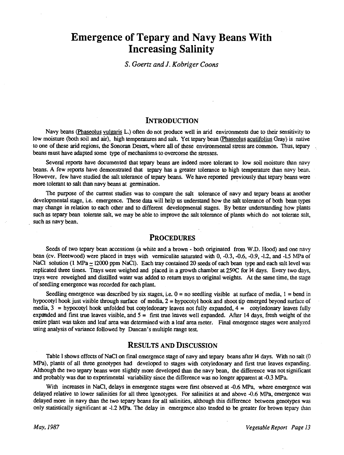# Emergence of Tepary and Navy Beans With Increasing Salinity

S. Goertz and J. Kobriger Coons

#### **INTRODUCTION**

Navy beans ( Phaseolus vulgaris L.) often do not produce well in arid environments due to their sensitivity to low moisture (both soil and air), high temperatures and salt. Yet tepary bean (Phaseolus acutifolius Gray) is native to one of these arid regions, the Sonoran Desert, where all of these environmental stress are common. Thus, tepary beans must have adapted some type of mechanisms to overcome the stresses.

Several reports have documented that tepary beans are indeed more tolerant to low soil moisture than navy beans. A few reports have demonstrated that tepary has a greater tolerance to high temperature than navy bean. However, few have studied the salt tolerance of tepary beans. We have reported previously that tepary beans were more tolerant to salt than navy beans at germination.

The purpose of the current studies was to compare the salt tolerance of navy and tepary beans at another developmental stage, i.e. emergence. These data will help us understand how the salt tolerance of both bean types may change in relation to each other and to different developmental stages. By better understanding how plants such as tepary bean tolerate salt, we may be able to improve the salt tolerance of plants which do not tolerate salt, such as navy bean.

# **PROCEDURES**

Seeds of two tepary bean accessions (a white and a brown - both originated from W.D. Hood) and one navy bean (cv. Fleetwood) were placed in trays with vermiculite saturated with 0, -0.3, -0.6, -0.9, -1.2, and -1.5 MPa of NaCl solution (1 MPa  $\approx$  12000 ppm NaCl). Each tray contained 20 seeds of each bean type and each salt level was replicated three times. Trays were weighed and placed in a growth chamber at 25°C for 14 days. Every two days, trays were reweighed and distilled water was added to return trays to original weights. At the same time, the stage of seedling emergence was recorded for each plant.

Seedling emergence was described by six stages, i.e.  $0 =$  no seedling visible at surface of media,  $1 =$  bend in hypocotyl hook just visible through surface of media,  $2 =$  hypocotyl hook and shoot tip emerged beyond surface of media,  $3$  = hypocotyl hook unfolded but cotyledonary leaves not fully expanded,  $4$  = cotyledonary leaves fully expanded and first true leaves visible, and  $5 =$  first true leaves well expanded. After 14 days, fresh weight of the entire plant was taken and leaf area was determined with a leaf area meter. Final emergence stages were analyzed using analysis of variance followed by Duncan's multiple range test.

# RESULTS AND DISCUSSION

Table 1 shows effects of NaCI on final emergence stage of navy and tepary beans after 14 days. With no salt (0 MPa), plants of all three genotypes had developed to stages with cotyledonary and first true leaves expanding. Although the two tepary beans were slightly more developed than the navy bean, the difference was not significant and probably was due to experimental variability since the difference was no longer apparent at -0.3 MPa.

With increases in NaCl, delays in emergence stages were first observed at -0.6 MPa, where emergence was delayed relative to lower salinities for all three ìgenotypes. For salinities at and above -0.6 MPa, emergence was delayed more in navy than the two tepary beans for all salinities, although this difference between genotypes was only statistically significant at -1.2 MPa. The delay in emergence also tended to be greater for brown tepary than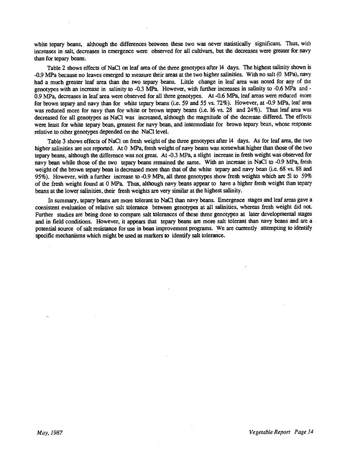white tepary beans, although the differences between these two was never statistically significant. Thus, with increases in salt, decreases in emergence were observed for all cultivars, but the decreases were greater for navy than for tepary beans.

Table 2 shows effects of NaC1 on leaf area of the three genotypes after 14 days. The highest salinity shown is -0.9 MPa because no leaves emerged to measure their areas at the two higher salinities. With no salt (0 MPa), navy had a much greater leaf area than the two tepary beans. Little change in leaf area was noted for any of the genotypes with an increase in salinity to -0.3 MPa. However, with further increases in salinity to -0.6 MPa and - 0.9 MPa, decreases in leaf area were observed for all three genotypes. At -0.6 MPa, leaf areas were reduced more for brown tepary and navy than for white tepary beans (i.e. 59 and 55 vs. 72%). However, at -0.9 MPa, leaf area was reduced more for navy than for white or brown tepary beans (i.e. 16 vs. 28 and 24%). Thus leaf area was decreased for all genotypes as NaC1 was increased, although the magnitude of the decrease differed. The effects were least for white tepary bean, greatest for navy bean, and intermediate for brown tepary bean, whose response relative to other genotypes depended on the NaC1 level.

Table 3 shows effects of NaC1 on fresh weight of the three genotypes after 14 days. As for leaf area, the two higher salinities are not reported. At 0 MPa, fresh weight of navy beans was somewhat higher than those of the two tepary beans, although the difference was not great. At -0.3 MPa, a slight increase in fresh weight was observed for navy bean while those of the two tepary beans remained the same. With an increase in NaCI to -0.9 MPa, fresh weight of the brown tepary bean is decreased more than that of the white tepary and navy bean (i.e. 68 vs. 88 and 95%). However, with a further increase to -0.9 MPa, all three genotypes show fresh weights which are 51 to 59% of the fresh weight found at 0 MPa. Thus, although navy beans appear to have a higher fresh weight than tepary beans at the lower salinities, their fresh weights are very similar at the highest salinity.

In summary, tepary beans are more tolerant to NaC1 than navy beans. Emergence stages and leaf areas gave a consistent evaluation of relative salt tolerance between genotypes at all salinities, whereas fresh weight did not. Further studies are being done to compare salt tolerances of these three genotypes at later developmental stages and in field conditions. However, it appears that tepary beans are more salt tolerant than navy beans and are a potential source of salt resistance for use in bean improvement programs. We are currently attempting to identify specific mechanisms which might be used as markers to identify salt tolerance.